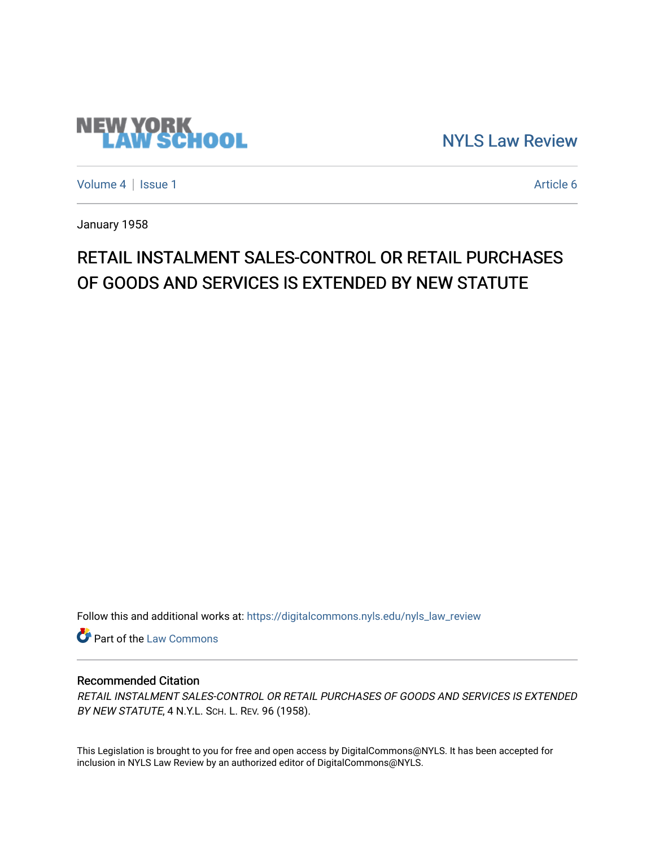## **NEW YORK<br>LAW SCHOOL**

[NYLS Law Review](https://digitalcommons.nyls.edu/nyls_law_review) 

[Volume 4](https://digitalcommons.nyls.edu/nyls_law_review/vol4) | [Issue 1](https://digitalcommons.nyls.edu/nyls_law_review/vol4/iss1) Article 6

January 1958

## RETAIL INSTALMENT SALES-CONTROL OR RETAIL PURCHASES OF GOODS AND SERVICES IS EXTENDED BY NEW STATUTE

Follow this and additional works at: [https://digitalcommons.nyls.edu/nyls\\_law\\_review](https://digitalcommons.nyls.edu/nyls_law_review?utm_source=digitalcommons.nyls.edu%2Fnyls_law_review%2Fvol4%2Fiss1%2F6&utm_medium=PDF&utm_campaign=PDFCoverPages) 

**Part of the [Law Commons](https://network.bepress.com/hgg/discipline/578?utm_source=digitalcommons.nyls.edu%2Fnyls_law_review%2Fvol4%2Fiss1%2F6&utm_medium=PDF&utm_campaign=PDFCoverPages)** 

## Recommended Citation

RETAIL INSTALMENT SALES-CONTROL OR RETAIL PURCHASES OF GOODS AND SERVICES IS EXTENDED BY NEW STATUTE, 4 N.Y.L. SCH. L. REV. 96 (1958).

This Legislation is brought to you for free and open access by DigitalCommons@NYLS. It has been accepted for inclusion in NYLS Law Review by an authorized editor of DigitalCommons@NYLS.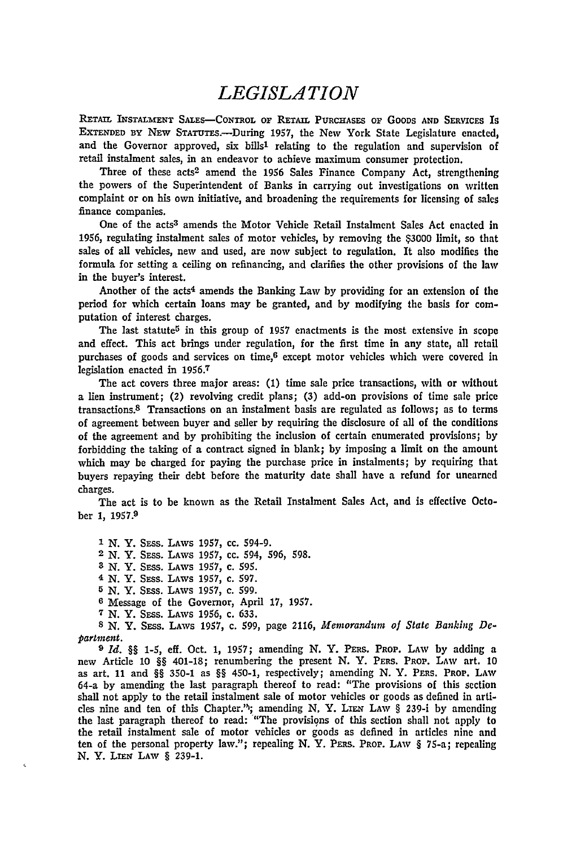## *LEGISLATION*

**RETAIL INSTALMENT SALES-CONTROL** or RETAIL **PURCHASES OF GOODS AND SERVICES Is** EXTENDED **BY NEW** STATuTE.-During **1957,** the New York State Legislature enacted, and the Governor approved, six bills<sup>1</sup> relating to the regulation and supervision of retail instalment sales, in an endeavor to achieve maximum consumer protection.

Three of these acts<sup>2</sup> amend the 1956 Sales Finance Company Act, strengthening the powers of the Superintendent of Banks in carrying out investigations on written complaint or on his own initiative, and broadening the requirements for licensing of sales finance companies.

One of the acts3 amends the Motor Vehicle Retail Instalment Sales Act enacted in 1956, regulating instalment sales of motor vehicles, **by** removing the **\$3000** limit, so that sales of all vehicles, new and used, are now subject to regulation. It also modifies the formula for setting a ceiling on refinancing, and clarifies the other provisions of the law in the buyer's interest.

Another of the acts4 amends the Banking Law **by** providing for an extension of the period for which certain loans may be granted, and **by** modifying the basis for computation of interest charges.

The last statute<sup>5</sup> in this group of 1957 enactments is the most extensive in scope and effect. This act brings under regulation, for the first time in any state, all retail purchases of goods and services on time,6 except motor vehicles which were covered in legislation enacted in 1956.7

The act covers three major areas: **(1)** time sale price transactions, with or without a lien instrument; (2) revolving credit plans; **(3)** add-on provisions of time sale price transactions. 8 Transactions on an instalment basis are regulated as follows; as to terms of agreement between buyer and seller **by** requiring the disclosure of all of the conditions of the agreement and by prohibiting the inclusion of certain enumerated provisions; **by** forbidding the taking of a contract signed in blank; **by** imposing a limit on the amount which may be charged for paying the purchase price in instalments; **by** requiring that buyers repaying their debt before the maturity date shall have a refund for unearned charges.

The act is to be known as the Retail Instalment Sales Act, and is effective October 1, 1957.<sup>9</sup>

**1** N. Y. SEss. LAws **1957,** cc. 594-9. **2** N. Y. SEss. LAWS **1957,** cc. 594, 596, 598. **3** N. Y. SEss. LAWS 1957, c. **595.** 4 N. Y. Sass. **LAWS 1957,** c. 597. **5** N. Y. SEss. **LAWS** 1957, c. 599. **6** Message of the Governor, April **17,** 1957. **7/** N. Y. Sass. LAWS 1956, c. **633. 8 N.** Y. SEss. LAWS **1957,** c. 599, page 2116, *Memorandum of State* Banking **De**partment.

*) Id. §§* 1-5, eff. Oct. 1, 1957; amending N. Y. PERS. PROP. LAW by adding a new Article 10 *§§* 401-18; renumbering the present N. Y. **PERS.** PROP. **LAW** art. 10 as art. 11 and §§ 350-1 as *§§* 450-1, respectively; amending N. Y. PFas. PROP. LAW 64-a by amending the last paragraph thereof to read: "The provisions of this section shall not apply to the retail instalment sale of motor vehicles or goods as defined in articles nine and ten of this Chapter.<sup>*n*</sup>; amending N, Y. LIEN LAW § 239-i by amending the last paragraph thereof to read: "The provisions of this section shall not apply to the retail instalment sale of motor vehicles or goods as defined in articles nine and ten of the personal property law."; repealing N. Y. PERS. PROP. LAW § 75-a; repealing N. Y. LIEN LAW § 239-1.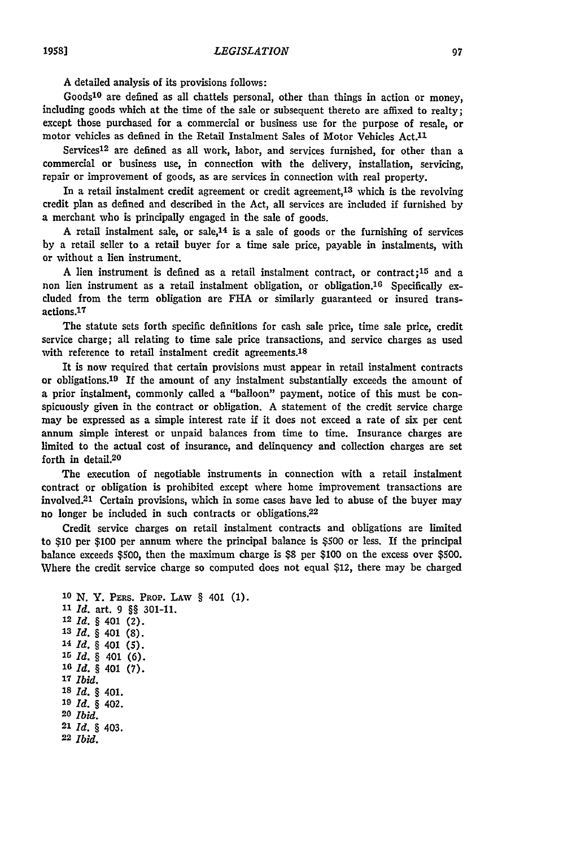A detailed analysis of its provisions follows:

Goods 10 are defined as all chattels personal, other than things in action or money, including goods which at the time of the sale or subsequent thereto are affixed to realty; except those purchased for a commercial or business use for the purpose of resale, or motor vehicles as defined in the Retail Instalment Sales of Motor Vehicles Act.<sup>11</sup>

Services<sup>12</sup> are defined as all work, labor, and services furnished, for other than a commercial or business use, in connection with the delivery, installation, servicing, repair or improvement of goods, as are services in connection with real property.

In a retail instalment credit agreement or credit agreement,13 which is the revolving credit plan as defined and described in the Act, all services are included if furnished **by** a merchant who is principally engaged in the sale of goods.

A retail instalment sale, or sale,  $14$  is a sale of goods or the furnishing of services **by** a retail seller to a retail buyer for a time sale price, payable in instalments, with or without a lien instrument.

A lien instrument is defined as a retail instalment contract, or contract; 15 and a non lien instrument as a retail instalment obligation, or obligation.<sup>16</sup> Specifically excluded from the term obligation are **FHA** or similarly guaranteed or insured transactions. <sup>17</sup>

The statute sets forth specific definitions for cash sale price, time sale price, credit service charge; all relating to time sale price transactions, and service charges as used with reference to retail instalment credit agreements.<sup>18</sup>

It is now required that certain provisions must appear in retail instalment contracts or obligations. 19 If the amount of any instalment substantially exceeds the amount of a prior instalment, commonly called a "balloon" payment, notice of this must be conspicuously given in the contract or obligation. A statement of the credit service charge may be expressed as a simple interest rate if it does not exceed a rate of six per cent annum simple interest or unpaid balances from time to time. Insurance charges are limited to the actual cost of insurance, and delinquency and collection charges are set forth in detail.<sup>20</sup>

The execution of negotiable instruments in connection with a retail instalment contract or obligation is prohibited except where home improvement transactions are involved.<sup>21</sup> Certain provisions, which in some cases have led to abuse of the buyer may no longer be included in such contracts or obligations.<sup>22</sup>

Credit service charges on retail instalment contracts and obligations are limited to **\$10** per **\$100** per annum where the principal balance is **\$500** or less. If the principal balance exceeds \$500, then the maximum charge is \$8 per **\$100** on the excess over **\$500.** Where the credit service charge so computed does not equal \$12, there may be charged

```
10 N. Y. PERS. PROP. LAW § 401 (1).
11Id. art. 9 §§ 301-11.
12Id. § 401 (2).
13Id. § 401 (8).
14Id. § 401 (5).
10Id. § 401 (6).
16Id. § 401 (7).
17Ibid.
18Id. § 401.
19Id. § 402.
20Ibid.
21 Id. § 403.
22Ibid.
```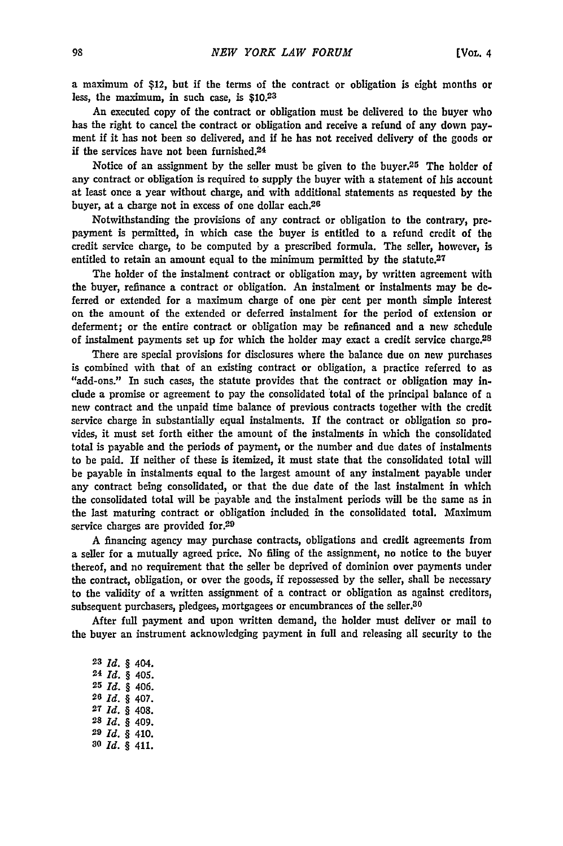a maximum of \$12, but if the terms of the contract or obligation is eight months or less, the maximum, in such case, is **\$10.23**

An executed copy of the contract or obligation must be delivered to the buyer who has the right to cancel the contract or obligation and receive a refund of any down payment **if** it has not been so delivered, and if he has not received delivery of the goods or if the services have not been furnished.<sup>24</sup>

Notice of an assignment by the seller must be given to the buyer.25 The holder of any contract or obligation is required to supply the buyer with a statement of his account at least once a year without charge, and with additional statements as requested **by** the buyer, at a charge not in excess of one dollar each.26

Notwithstanding the provisions of any contract or obligation to the contrary, prepayment is permitted, in which case the buyer is entitled to a refund credit of the credit service charge, to be computed by a prescribed formula. The seller, however, is entitled to retain an amount equal to the minimum permitted **by** the statute.<sup>27</sup>

The holder of the instalment contract or obligation may, by written agreement with the buyer, refinance a contract or obligation. An instalment or instalments may **be de**ferred or extended for a maximum charge of one per cent per month simple interest on the amount of the extended or deferred instalment for the period of extension or deferment; or the entire contract or obligation may be refinanced and a new schedule of instalment payments set up for which the holder may exact a credit service charge.28

There are special provisions for disclosures where the balance due on new purchases is combined with that of an existing contract or obligation, a practice referred to as "add-ons." In such cases, the statute provides that the contract or obligation may include a promise or agreement to pay the consolidated total of the principal balance of a new contract and the unpaid time balance of previous contracts together with the credit service charge in substantially equal instalments. If the contract or obligation so pro. vides, it must set forth either the amount of the instalments in which the consolidated total is payable and the periods of payment, or the number and due dates of instalments to be paid. **If** neither of these is itemized, it must state that the consolidated total will be payable in instalments equal to the largest amount of any instalment payable under any contract being consolidated, or that the due date of the last instalment in which the consolidated total will be payable and the instalment periods will be the same as in the last maturing contract or obligation included in the consolidated total. Maximum service charges are provided for.<sup>29</sup>

A financing agency may purchase contracts, obligations and credit agreements from a seller for a mutually agreed price. No filing of the assignment, no notice to the buyer thereof, and no requirement that the seller be deprived of dominion over payments under the contract, obligation, or over the goods, **if** repossessed **by** the seller, shall be necessary to the validity of a written assignment of a contract or obligation as against creditors, subsequent purchasers, pledgees, mortgagees or encumbrances of the seller.<sup>30</sup>

After full payment and upon written demand, the holder must deliver or mail to the buyer an instrument acknowledging payment in full and releasing all security to the

*Id.* § 404. *Id.* § 405. *Id.* § 406. *Id.* § 407. *Id.* § 408. *Id.* § 409. *Id. §* 410. *ao Id.* § 411.